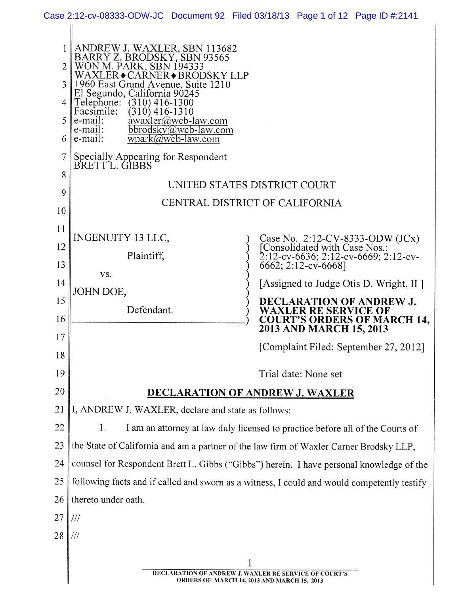|                     |                                                                                        | Case 2:12-cv-08333-ODW-JC Document 92 Filed 03/18/13 Page 1 of 12 Page ID #:2141                         |
|---------------------|----------------------------------------------------------------------------------------|----------------------------------------------------------------------------------------------------------|
|                     |                                                                                        |                                                                                                          |
|                     | ANDREW J. WAXLER, SBN 113682<br>BARRY Z. BRODSKY, SBN 93565<br>WON M. PARK, SBN 194333 |                                                                                                          |
| $\overline{2}$      | WAXLER • CARNER • BRODSKY LLP                                                          |                                                                                                          |
| $\mathfrak{Z}$<br>4 | 1960 East Grand Avenue, Suite 1210<br>El Segundo, California 90245<br>$(310)$ 416-1300 |                                                                                                          |
| 5                   | Telephone:<br>Facsimile:<br>$(310)$ 416-1310<br>awaxler@wcb-law.com                    |                                                                                                          |
| 6                   | e-mail:<br>e-mail:<br>$bbrodsky@wcb-law.com$<br>e-mail:<br>$wpark@wcb-law.com$         |                                                                                                          |
| 7                   | Specially Appearing for Respondent<br>BRETT L. GIBBS                                   |                                                                                                          |
| 8                   |                                                                                        |                                                                                                          |
| 9                   |                                                                                        | UNITED STATES DISTRICT COURT                                                                             |
| 10                  |                                                                                        | CENTRAL DISTRICT OF CALIFORNIA                                                                           |
| 11                  | INGENUITY 13 LLC,                                                                      |                                                                                                          |
| 12                  | Plaintiff,                                                                             | Case No. 2:12-CV-8333-ODW (JCx)<br>[Consolidated with Case Nos.:<br>2:12-cv-6636; 2:12-cv-6669; 2:12-cv- |
| 13                  | VS.                                                                                    | 6662; 2:12-cv-6668]                                                                                      |
| 14                  | JOHN DOE,                                                                              | [Assigned to Judge Otis D. Wright, II]                                                                   |
| 15                  | Defendant.                                                                             | <b>DECLARATION OF ANDREW J.</b><br><b>WAXLER RE SERVICE OF</b>                                           |
| 16                  |                                                                                        | <b>COURT'S ORDERS OF MARCH 14,</b><br>2013 AND MARCH 15, 2013                                            |
| 17<br>18            |                                                                                        | [Complaint Filed: September 27, 2012]                                                                    |
| 19                  |                                                                                        | Trial date: None set                                                                                     |
| 20                  |                                                                                        |                                                                                                          |
| 21                  | I, ANDREW J. WAXLER, declare and state as follows:                                     | <b>DECLARATION OF ANDREW J. WAXLER</b>                                                                   |
| 22                  | 1.                                                                                     | I am an attorney at law duly licensed to practice before all of the Courts of                            |
| 23                  |                                                                                        | the State of California and am a partner of the law firm of Waxler Carner Brodsky LLP,                   |
| 24                  |                                                                                        | counsel for Respondent Brett L. Gibbs ("Gibbs") herein. I have personal knowledge of the                 |
| 25                  |                                                                                        | following facts and if called and sworn as a witness, I could and would competently testify              |
| 26                  | thereto under oath.                                                                    |                                                                                                          |
| 27                  | $^{\prime\prime\prime}$                                                                |                                                                                                          |
| 28                  | $\parallel$ ///                                                                        |                                                                                                          |
|                     |                                                                                        |                                                                                                          |
|                     |                                                                                        | DECLARATION OF ANDREW J. WAXLER RE SERVICE OF COURT'S                                                    |
|                     |                                                                                        | <b>ORDERS OF MARCH 14, 2013 AND MARCH 15, 2013</b>                                                       |

**DECLARATION OF ANDREW J. WAXLER RE SERVICE OF COURT'S ORDERS OF MARCH 14. 2013 AND MARCH 15, 2013**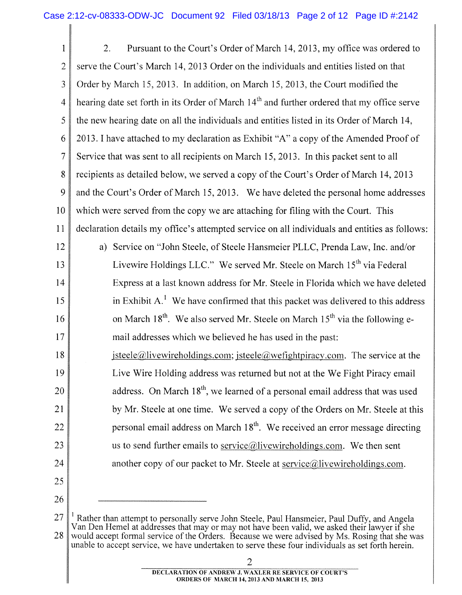1 2 3 4 5 6 7 8 9 10 11 12 13 14 15 16 17 18 19 20 21 22 23 24 25 2. Pursuant to the Court's Order of March 14, 2013, my office was ordered to serve the Court's March 14, 2013 Order on the individuals and entities listed on that Order by March 15, 2013. In addition, on March 15, 2013, the Court modified the hearing date set forth in its Order of March  $14<sup>m</sup>$  and further ordered that my office serve the new hearing date on all the individuals and entities listed in its Order of March 14, 2013. I have attached to my declaration as Exhibit "A" a copy of the Amended Proof of Service that was sent to all recipients on March 15, 2013. In this packet sent to all recipients as detailed below, we served a copy of the Court's Order of March 14, 2013 and the Court's Order of March 15, 2013. We have deleted the personal home addresses which were served from the copy we are attaching for filing with the Court. This declaration details my office's attempted service on all individuals and entities as follows: a) Service on "John Steele, of Steele Hansmeier PLLC , Prenda Law, Inc. and/or Livewire Holdings LLC." We served Mr. Steele on March  $15<sup>th</sup>$  via Federal Express at a last known address for Mr. Steele in Florida which we have deleted in Exhibit  $A<sup>1</sup>$ . We have confirmed that this packet was delivered to this address on March 18<sup>th</sup>. We also served Mr. Steele on March 15<sup>th</sup> via the following email addresses which we believed he has used in the past: isteele@livewireholdings.com: isteele@wefightpiracy.com. The service at the Live Wire Holding address was returned but not at the We Fight Piracy email address. On March 18<sup>th</sup>, we learned of a personal email address that was used by Mr. Steele at one time. We served a copy of the Orders on Mr. Steele at this by Mr. Steele at one time. We served a copy of the Orders on Mr. Steele at this us to send further emails to service@livewireholdings.com. We then sent another copy of our packet to Mr. Steele at service@livewireholdings.com.

26

<sup>27</sup>  28 Rather than attempt to personally serve John Steele, Paul Hansmeier, Paul Duffy, and Angela Van Den Hemel at addresses that may or may not have been valid, we asked their lawyer if she would accept formal service of the Orders. Because we were advised by Ms. Rosing that she was unable to accept service, we have undertaken to serve these four individuals as set forth herein.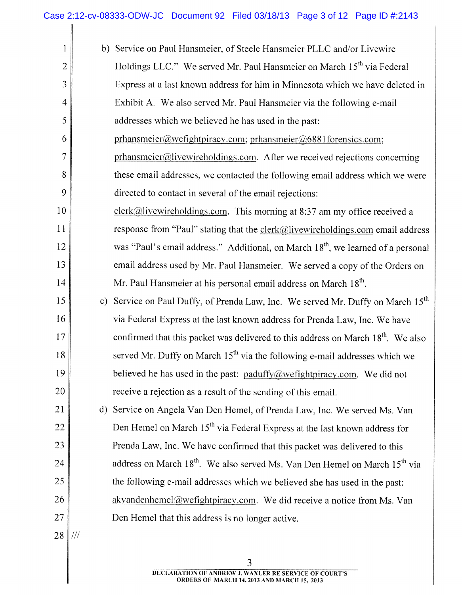║

| $\mathbf{1}$   |     | b) Service on Paul Hansmeier, of Steele Hansmeier PLLC and/or Livewire                             |
|----------------|-----|----------------------------------------------------------------------------------------------------|
| $\overline{2}$ |     | Holdings LLC." We served Mr. Paul Hansmeier on March 15 <sup>th</sup> via Federal                  |
| 3              |     | Express at a last known address for him in Minnesota which we have deleted in                      |
| $\overline{4}$ |     | Exhibit A. We also served Mr. Paul Hansmeier via the following e-mail                              |
| 5              |     | addresses which we believed he has used in the past:                                               |
| 6              |     | prhansmeier@wefightpiracy.com; prhansmeier@6881forensics.com;                                      |
| $\overline{7}$ |     | prhansmeier@livewireholdings.com. After we received rejections concerning                          |
| 8              |     | these email addresses, we contacted the following email address which we were                      |
| 9              |     | directed to contact in several of the email rejections:                                            |
| 10             |     | clerk@livewireholdings.com. This morning at 8:37 am my office received a                           |
| 11             |     | response from "Paul" stating that the $\text{clerk}(\hat{a})$ livewireholdings.com email address   |
| 12             |     | was "Paul's email address." Additional, on March 18 <sup>th</sup> , we learned of a personal       |
| 13             |     | email address used by Mr. Paul Hansmeier. We served a copy of the Orders on                        |
| 14             |     | Mr. Paul Hansmeier at his personal email address on March 18 <sup>th</sup> .                       |
| 15             |     | c) Service on Paul Duffy, of Prenda Law, Inc. We served Mr. Duffy on March 15 <sup>th</sup>        |
| 16             |     | via Federal Express at the last known address for Prenda Law, Inc. We have                         |
| 17             |     | confirmed that this packet was delivered to this address on March 18 <sup>th</sup> . We also       |
| 18             |     | served Mr. Duffy on March $15th$ via the following e-mail addresses which we                       |
| 19             |     | believed he has used in the past: paduffy@wefightpiracy.com. We did not                            |
| 20             |     | receive a rejection as a result of the sending of this email.                                      |
| 21             |     | d) Service on Angela Van Den Hemel, of Prenda Law, Inc. We served Ms. Van                          |
| 22             |     | Den Hemel on March 15 <sup>th</sup> via Federal Express at the last known address for              |
| 23             |     | Prenda Law, Inc. We have confirmed that this packet was delivered to this                          |
| 24             |     | address on March 18 <sup>th</sup> . We also served Ms. Van Den Hemel on March 15 <sup>th</sup> via |
| 25             |     | the following e-mail addresses which we believed she has used in the past:                         |
| 26             |     | akvandenhemel@wefightpiracy.com. We did receive a notice from Ms. Van                              |
| 27             |     | Den Hemel that this address is no longer active.                                                   |
| 28             | 111 |                                                                                                    |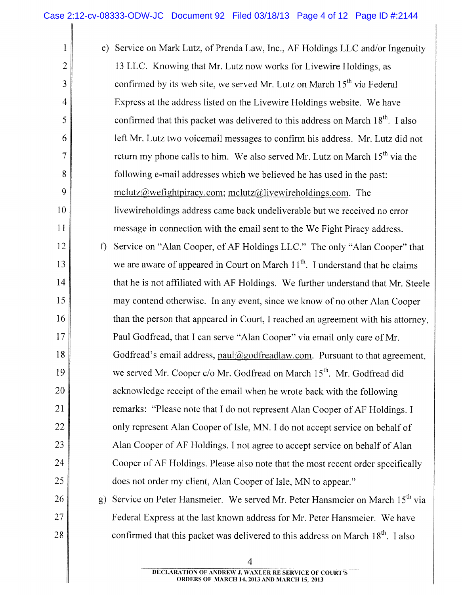I

| 1              |              | e) Service on Mark Lutz, of Prenda Law, Inc., AF Holdings LLC and/or Ingenuity              |
|----------------|--------------|---------------------------------------------------------------------------------------------|
| $\overline{2}$ |              | 13 LLC. Knowing that Mr. Lutz now works for Livewire Holdings, as                           |
| 3              |              | confirmed by its web site, we served Mr. Lutz on March 15 <sup>th</sup> via Federal         |
| $\overline{4}$ |              | Express at the address listed on the Livewire Holdings website. We have                     |
| 5              |              | confirmed that this packet was delivered to this address on March 18 <sup>th</sup> . I also |
| 6              |              | left Mr. Lutz two voicemail messages to confirm his address. Mr. Lutz did not               |
| $\overline{7}$ |              | return my phone calls to him. We also served Mr. Lutz on March 15 <sup>th</sup> via the     |
| 8              |              | following e-mail addresses which we believed he has used in the past:                       |
| 9              |              | $melutz@wefightpiracy.com; melutz@livewireholdings.com. The$                                |
| 10             |              | livewireholdings address came back undeliverable but we received no error                   |
| 11             |              | message in connection with the email sent to the We Fight Piracy address.                   |
| 12             | $\mathbf{f}$ | Service on "Alan Cooper, of AF Holdings LLC." The only "Alan Cooper" that                   |
| 13             |              | we are aware of appeared in Court on March 11 <sup>th</sup> . I understand that he claims   |
| 14             |              | that he is not affiliated with AF Holdings. We further understand that Mr. Steele           |
| 15             |              | may contend otherwise. In any event, since we know of no other Alan Cooper                  |
| 16             |              | than the person that appeared in Court, I reached an agreement with his attorney,           |
| 17             |              | Paul Godfread, that I can serve "Alan Cooper" via email only care of Mr.                    |
| 18             |              | Godfread's email address, paul@godfreadlaw.com. Pursuant to that agreement,                 |
| 19             |              | we served Mr. Cooper c/o Mr. Godfread on March 15 <sup>th</sup> . Mr. Godfread did          |
| 20             |              | acknowledge receipt of the email when he wrote back with the following                      |
| 21             |              | remarks: "Please note that I do not represent Alan Cooper of AF Holdings. I                 |
| 22             |              | only represent Alan Cooper of Isle, MN. I do not accept service on behalf of                |
| 23             |              | Alan Cooper of AF Holdings. I not agree to accept service on behalf of Alan                 |
| 24             |              | Cooper of AF Holdings. Please also note that the most recent order specifically             |
| 25             |              | does not order my client, Alan Cooper of Isle, MN to appear."                               |
| 26             | g)           | Service on Peter Hansmeier. We served Mr. Peter Hansmeier on March 15 <sup>th</sup> via     |
| 27             |              | Federal Express at the last known address for Mr. Peter Hansmeier. We have                  |
| 28             |              | confirmed that this packet was delivered to this address on March 18 <sup>th</sup> . I also |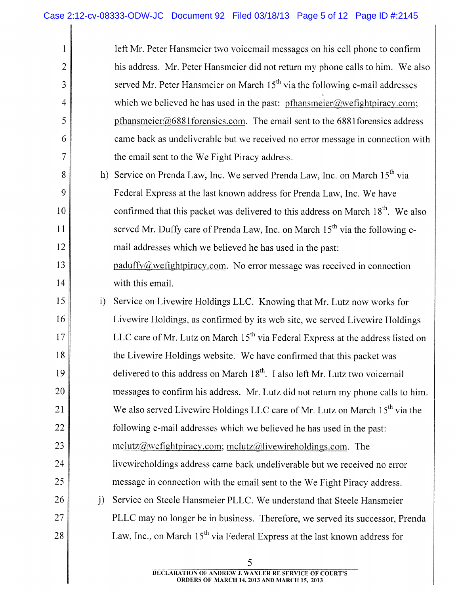$\parallel$ 

| 1              |              | left Mr. Peter Hansmeier two voicemail messages on his cell phone to confirm                 |
|----------------|--------------|----------------------------------------------------------------------------------------------|
| $\overline{2}$ |              | his address. Mr. Peter Hansmeier did not return my phone calls to him. We also               |
| 3              |              | served Mr. Peter Hansmeier on March 15 <sup>th</sup> via the following e-mail addresses      |
| $\overline{4}$ |              | which we believed he has used in the past: $pfhansmeier@wefghtpiracy.com;$                   |
| 5              |              | pfhansmeier@6881forensics.com. The email sent to the 6881forensics address                   |
| 6              |              | came back as undeliverable but we received no error message in connection with               |
| $\overline{7}$ |              | the email sent to the We Fight Piracy address.                                               |
| 8              | h)           | Service on Prenda Law, Inc. We served Prenda Law, Inc. on March 15 <sup>th</sup> via         |
| 9              |              | Federal Express at the last known address for Prenda Law, Inc. We have                       |
| 10             |              | confirmed that this packet was delivered to this address on March 18 <sup>th</sup> . We also |
| 11             |              | served Mr. Duffy care of Prenda Law, Inc. on March 15 <sup>th</sup> via the following e-     |
| 12             |              | mail addresses which we believed he has used in the past:                                    |
| 13             |              | paduffy@wefightpiracy.com. No error message was received in connection                       |
| 14             |              | with this email.                                                                             |
| 15             | i)           | Service on Livewire Holdings LLC. Knowing that Mr. Lutz now works for                        |
| 16             |              | Livewire Holdings, as confirmed by its web site, we served Livewire Holdings                 |
| 17             |              | LLC care of Mr. Lutz on March 15 <sup>th</sup> via Federal Express at the address listed on  |
| 18             |              | the Livewire Holdings website. We have confirmed that this packet was                        |
| 19             |              | delivered to this address on March 18 <sup>th</sup> . I also left Mr. Lutz two voicemail     |
| 20             |              | messages to confirm his address. Mr. Lutz did not return my phone calls to him.              |
| 21             |              | We also served Livewire Holdings LLC care of Mr. Lutz on March 15 <sup>th</sup> via the      |
| 22             |              | following e-mail addresses which we believed he has used in the past:                        |
| 23             |              | $melutz@wefightpiracy.com; melutz@livewireholdings.com.$ The                                 |
| 24             |              | livewireholdings address came back undeliverable but we received no error                    |
| 25             |              | message in connection with the email sent to the We Fight Piracy address.                    |
| 26             | $\mathbf{j}$ | Service on Steele Hansmeier PLLC. We understand that Steele Hansmeier                        |
| 27             |              | PLLC may no longer be in business. Therefore, we served its successor, Prenda                |
| 28             |              | Law, Inc., on March 15 <sup>th</sup> via Federal Express at the last known address for       |

5 **DECLARATION OF ANDREW ,J. WAXLER RE SERVICE OF COURT'S ORDERS OF MARCH 14, 2013 AND MARCH 15, 2013**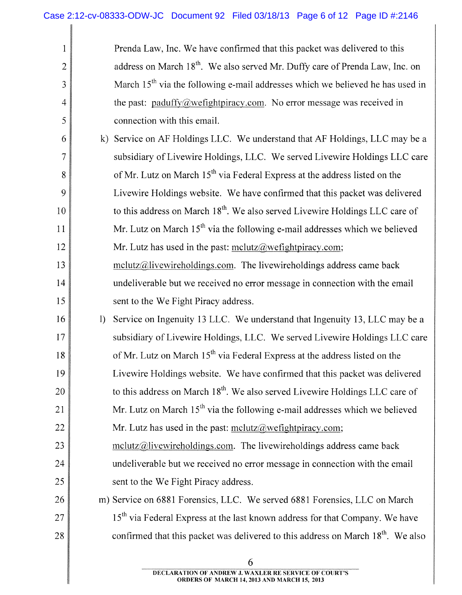$\parallel$ 

| $\mathbf{1}$   | Prenda Law, Inc. We have confirmed that this packet was delivered to this                    |
|----------------|----------------------------------------------------------------------------------------------|
| $\overline{2}$ | address on March 18 <sup>th</sup> . We also served Mr. Duffy care of Prenda Law, Inc. on     |
| 3              | March 15 <sup>th</sup> via the following e-mail addresses which we believed he has used in   |
| 4              | the past: paduffy@wefightpiracy.com. No error message was received in                        |
| 5              | connection with this email.                                                                  |
| 6              | Service on AF Holdings LLC. We understand that AF Holdings, LLC may be a<br>$\bf k$          |
| $\tau$         | subsidiary of Livewire Holdings, LLC. We served Livewire Holdings LLC care                   |
| 8              | of Mr. Lutz on March 15 <sup>th</sup> via Federal Express at the address listed on the       |
| 9              | Livewire Holdings website. We have confirmed that this packet was delivered                  |
| 10             | to this address on March 18 <sup>th</sup> . We also served Livewire Holdings LLC care of     |
| 11             | Mr. Lutz on March $15th$ via the following e-mail addresses which we believed                |
| 12             | Mr. Lutz has used in the past: $mclutz@wefightpiracy.com;$                                   |
| 13             | $melutz@live wireless.com$ . The livewireholdings address came back                          |
| 14             | undeliverable but we received no error message in connection with the email                  |
| 15             | sent to the We Fight Piracy address.                                                         |
| 16             | Service on Ingenuity 13 LLC. We understand that Ingenuity 13, LLC may be a<br>$\mathbf{I}$   |
| 17             | subsidiary of Livewire Holdings, LLC. We served Livewire Holdings LLC care                   |
| 18             | of Mr. Lutz on March 15 <sup>th</sup> via Federal Express at the address listed on the       |
| 19             | Livewire Holdings website. We have confirmed that this packet was delivered                  |
| 20             | to this address on March 18 <sup>th</sup> . We also served Livewire Holdings LLC care of     |
| 21             | Mr. Lutz on March $15th$ via the following e-mail addresses which we believed                |
| 22             | Mr. Lutz has used in the past: $\text{mclutz}(\hat{\alpha}$ we fight piracy.com;             |
| 23             | $melutz@livewireholdings.com.$ The livewireholdings address came back                        |
| 24             | undeliverable but we received no error message in connection with the email                  |
| 25             | sent to the We Fight Piracy address.                                                         |
| 26             | m) Service on 6881 Forensics, LLC. We served 6881 Forensics, LLC on March                    |
| 27             | 15 <sup>th</sup> via Federal Express at the last known address for that Company. We have     |
| 28             | confirmed that this packet was delivered to this address on March 18 <sup>th</sup> . We also |
|                |                                                                                              |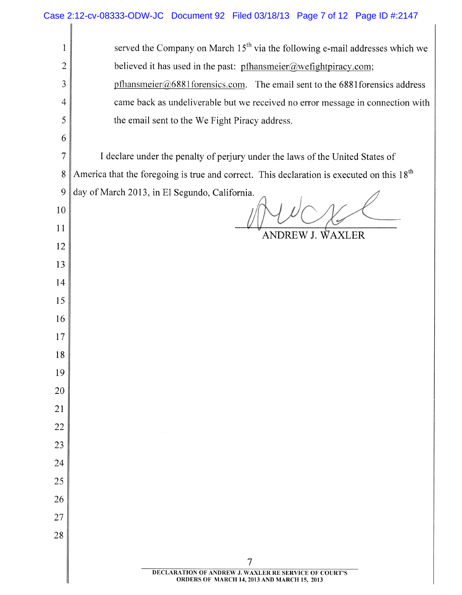|                | Case 2:12-cv-08333-ODW-JC Document 92 Filed 03/18/13 Page 7 of 12 Page ID #:2147                      |
|----------------|-------------------------------------------------------------------------------------------------------|
| 1              | served the Company on March 15 <sup>th</sup> via the following e-mail addresses which we              |
| $\overline{c}$ | believed it has used in the past: pfhansmeier@wefightpiracy.com;                                      |
| 3              | $pfhansmeier@6881$ forensics.com. The email sent to the 6881 forensics address                        |
| $\overline{4}$ | came back as undeliverable but we received no error message in connection with                        |
| 5              | the email sent to the We Fight Piracy address.                                                        |
| 6              |                                                                                                       |
| $\overline{7}$ | I declare under the penalty of perjury under the laws of the United States of                         |
| 8              | America that the foregoing is true and correct. This declaration is executed on this 18 <sup>th</sup> |
| 9              | day of March 2013, in El Segundo, California.                                                         |
| 10             |                                                                                                       |
| 11             | ANDREW J. WAXLER                                                                                      |
| 12             |                                                                                                       |
| 13             |                                                                                                       |
| 14             |                                                                                                       |
| 15             |                                                                                                       |
| 16             |                                                                                                       |
| 17             |                                                                                                       |
| 18             |                                                                                                       |
| 19             |                                                                                                       |
| 20             |                                                                                                       |
| 21             |                                                                                                       |
| 22             |                                                                                                       |
| 23             |                                                                                                       |
| 24             |                                                                                                       |
| 25             |                                                                                                       |
| 26             |                                                                                                       |
| 27             |                                                                                                       |
| 28             |                                                                                                       |
|                | 7                                                                                                     |
|                | DECLARATION OF ANDREW J. WAXLER RE SERVICE OF COURT'S<br>ORDERS OF MARCH 14, 2013 AND MARCH 15, 2013  |

**DECLARATION OF ANDREW J. WAXLER RE SERVICE OF COURT'S ORDERS OF MARCH 14,2013 AND MARCH IS, 2013**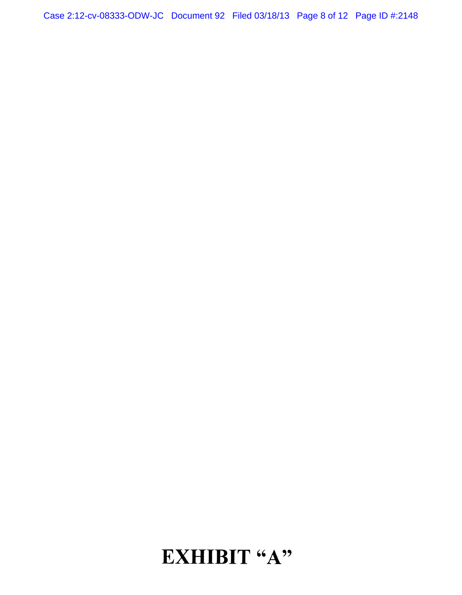Case 2:12-cv-08333-ODW-JC Document 92 Filed 03/18/13 Page 8 of 12 Page ID #:2148

## **EXHIBIT** "A"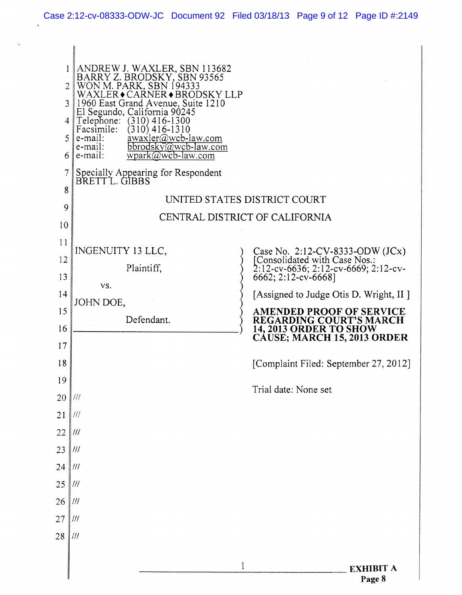$\ddot{\phantom{0}}$ 

| ANDREW J. WAXLER, SBN 113682<br>BARRY Z. BRODSKY, SBN 93565<br>WON M. PARK, SBN 194333<br>1<br>2<br>CARNER◆BRODSKY LLP<br>WAXLER.<br>1960 East Grand Avenue, Suite 1210<br>3<br>El Segundo, California 90245<br>Telephone:<br>$(310)$ 416-1300<br>4<br>Facsimile:<br>(310) 416-1310<br>$\frac{\partial}{\partial x}$ awaxler@wcb-law.com<br>e-mail:<br>5<br>e-mail:<br>bbrodsky@wcb-law.com<br>$wpark@wcb-law.com$<br>e-mail:<br>6<br>7<br>Specially Appearing for Respondent<br>BRETT L. GIBBS<br>8<br>UNITED STATES DISTRICT COURT<br>9<br>CENTRAL DISTRICT OF CALIFORNIA<br>10<br>11<br>INGENUITY 13 LLC,<br>Case No. 2:12-CV-8333-ODW (JCx)<br>[Consolidated with Case Nos.:<br>2:12-cv-6636; 2:12-cv-6669; 2:12-cv-6662; 2:12-cv-6668]<br>12<br>Plaintiff,<br>13<br>VS.<br>[Assigned to Judge Otis D. Wright, II ]<br>14<br>JOHN DOE,<br>15<br><b>AMENDED PROOF OF SERVICE</b><br>Defendant.<br><b>REGARDING COURT'S MARCH</b><br>16<br>14, 2013 ORDER TO SHOW<br>CÁUSE; MARCH 15, 2013 ORDER<br>17<br>18<br>[Complaint Filed: September 27, 2012]<br>19<br>Trial date: None set<br>20<br>$\frac{1}{1}$<br>21<br>$\frac{1}{1}$<br>22<br>$\ensuremath{/\!/\!/\!_\ell}$<br>23<br>$\ensuremath{\mathit{III}}\xspace$<br>24<br>$\parallel$ ///<br>25<br>$\parallel$ ///<br>26<br>III<br>27<br>$\frac{1}{1}$<br>28<br>$\frac{1}{1}$<br>$\mathbf{1}$<br><b>EXHIBIT A</b><br>Page 8 |  |  |
|-----------------------------------------------------------------------------------------------------------------------------------------------------------------------------------------------------------------------------------------------------------------------------------------------------------------------------------------------------------------------------------------------------------------------------------------------------------------------------------------------------------------------------------------------------------------------------------------------------------------------------------------------------------------------------------------------------------------------------------------------------------------------------------------------------------------------------------------------------------------------------------------------------------------------------------------------------------------------------------------------------------------------------------------------------------------------------------------------------------------------------------------------------------------------------------------------------------------------------------------------------------------------------------------------------------------------------------------------------------------------------------|--|--|
|                                                                                                                                                                                                                                                                                                                                                                                                                                                                                                                                                                                                                                                                                                                                                                                                                                                                                                                                                                                                                                                                                                                                                                                                                                                                                                                                                                                   |  |  |
|                                                                                                                                                                                                                                                                                                                                                                                                                                                                                                                                                                                                                                                                                                                                                                                                                                                                                                                                                                                                                                                                                                                                                                                                                                                                                                                                                                                   |  |  |
|                                                                                                                                                                                                                                                                                                                                                                                                                                                                                                                                                                                                                                                                                                                                                                                                                                                                                                                                                                                                                                                                                                                                                                                                                                                                                                                                                                                   |  |  |
|                                                                                                                                                                                                                                                                                                                                                                                                                                                                                                                                                                                                                                                                                                                                                                                                                                                                                                                                                                                                                                                                                                                                                                                                                                                                                                                                                                                   |  |  |
|                                                                                                                                                                                                                                                                                                                                                                                                                                                                                                                                                                                                                                                                                                                                                                                                                                                                                                                                                                                                                                                                                                                                                                                                                                                                                                                                                                                   |  |  |
|                                                                                                                                                                                                                                                                                                                                                                                                                                                                                                                                                                                                                                                                                                                                                                                                                                                                                                                                                                                                                                                                                                                                                                                                                                                                                                                                                                                   |  |  |
|                                                                                                                                                                                                                                                                                                                                                                                                                                                                                                                                                                                                                                                                                                                                                                                                                                                                                                                                                                                                                                                                                                                                                                                                                                                                                                                                                                                   |  |  |
|                                                                                                                                                                                                                                                                                                                                                                                                                                                                                                                                                                                                                                                                                                                                                                                                                                                                                                                                                                                                                                                                                                                                                                                                                                                                                                                                                                                   |  |  |
|                                                                                                                                                                                                                                                                                                                                                                                                                                                                                                                                                                                                                                                                                                                                                                                                                                                                                                                                                                                                                                                                                                                                                                                                                                                                                                                                                                                   |  |  |
|                                                                                                                                                                                                                                                                                                                                                                                                                                                                                                                                                                                                                                                                                                                                                                                                                                                                                                                                                                                                                                                                                                                                                                                                                                                                                                                                                                                   |  |  |
|                                                                                                                                                                                                                                                                                                                                                                                                                                                                                                                                                                                                                                                                                                                                                                                                                                                                                                                                                                                                                                                                                                                                                                                                                                                                                                                                                                                   |  |  |
|                                                                                                                                                                                                                                                                                                                                                                                                                                                                                                                                                                                                                                                                                                                                                                                                                                                                                                                                                                                                                                                                                                                                                                                                                                                                                                                                                                                   |  |  |
|                                                                                                                                                                                                                                                                                                                                                                                                                                                                                                                                                                                                                                                                                                                                                                                                                                                                                                                                                                                                                                                                                                                                                                                                                                                                                                                                                                                   |  |  |
|                                                                                                                                                                                                                                                                                                                                                                                                                                                                                                                                                                                                                                                                                                                                                                                                                                                                                                                                                                                                                                                                                                                                                                                                                                                                                                                                                                                   |  |  |
|                                                                                                                                                                                                                                                                                                                                                                                                                                                                                                                                                                                                                                                                                                                                                                                                                                                                                                                                                                                                                                                                                                                                                                                                                                                                                                                                                                                   |  |  |
|                                                                                                                                                                                                                                                                                                                                                                                                                                                                                                                                                                                                                                                                                                                                                                                                                                                                                                                                                                                                                                                                                                                                                                                                                                                                                                                                                                                   |  |  |
|                                                                                                                                                                                                                                                                                                                                                                                                                                                                                                                                                                                                                                                                                                                                                                                                                                                                                                                                                                                                                                                                                                                                                                                                                                                                                                                                                                                   |  |  |
|                                                                                                                                                                                                                                                                                                                                                                                                                                                                                                                                                                                                                                                                                                                                                                                                                                                                                                                                                                                                                                                                                                                                                                                                                                                                                                                                                                                   |  |  |
|                                                                                                                                                                                                                                                                                                                                                                                                                                                                                                                                                                                                                                                                                                                                                                                                                                                                                                                                                                                                                                                                                                                                                                                                                                                                                                                                                                                   |  |  |
|                                                                                                                                                                                                                                                                                                                                                                                                                                                                                                                                                                                                                                                                                                                                                                                                                                                                                                                                                                                                                                                                                                                                                                                                                                                                                                                                                                                   |  |  |
|                                                                                                                                                                                                                                                                                                                                                                                                                                                                                                                                                                                                                                                                                                                                                                                                                                                                                                                                                                                                                                                                                                                                                                                                                                                                                                                                                                                   |  |  |
|                                                                                                                                                                                                                                                                                                                                                                                                                                                                                                                                                                                                                                                                                                                                                                                                                                                                                                                                                                                                                                                                                                                                                                                                                                                                                                                                                                                   |  |  |
|                                                                                                                                                                                                                                                                                                                                                                                                                                                                                                                                                                                                                                                                                                                                                                                                                                                                                                                                                                                                                                                                                                                                                                                                                                                                                                                                                                                   |  |  |
|                                                                                                                                                                                                                                                                                                                                                                                                                                                                                                                                                                                                                                                                                                                                                                                                                                                                                                                                                                                                                                                                                                                                                                                                                                                                                                                                                                                   |  |  |
|                                                                                                                                                                                                                                                                                                                                                                                                                                                                                                                                                                                                                                                                                                                                                                                                                                                                                                                                                                                                                                                                                                                                                                                                                                                                                                                                                                                   |  |  |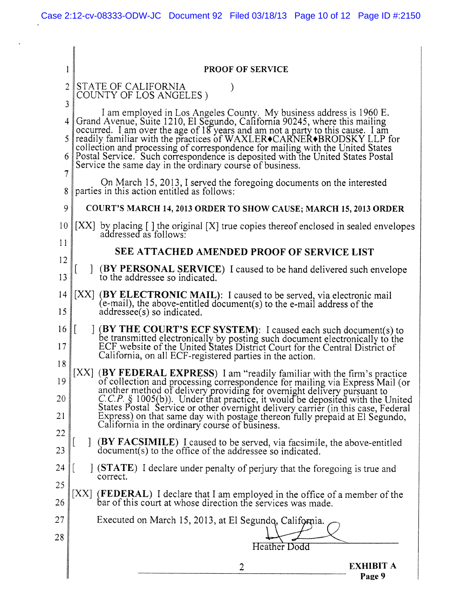J.

| 1                   | <b>PROOF OF SERVICE</b>                                                                                                                                                                                                                                                                                                                                                                                                                                                                                                                      |
|---------------------|----------------------------------------------------------------------------------------------------------------------------------------------------------------------------------------------------------------------------------------------------------------------------------------------------------------------------------------------------------------------------------------------------------------------------------------------------------------------------------------------------------------------------------------------|
| $\overline{2}$<br>3 | STATE OF CALIFORNIA<br>COUNTY OF LOS ANGELES)                                                                                                                                                                                                                                                                                                                                                                                                                                                                                                |
| 4<br>5              | I am employed in Los Angeles County. My business address is 1960 E.<br>Grand Avenue, Suite 1210, El Segundo, California 90245, where this mailing<br>occurred. I am over the age of 18 years and am not a party to this cause. I am<br><br>collection and processing of correspondence for mailing with the United States                                                                                                                                                                                                                    |
| 6<br>7              | Postal Service. Such correspondence is deposited with the United States Postal<br>Service the same day in the ordinary course of business.                                                                                                                                                                                                                                                                                                                                                                                                   |
| 8                   | On March 15, 2013, I served the foregoing documents on the interested<br>parties in this action entitled as follows:                                                                                                                                                                                                                                                                                                                                                                                                                         |
| 9                   | <b>COURT'S MARCH 14, 2013 ORDER TO SHOW CAUSE; MARCH 15, 2013 ORDER</b>                                                                                                                                                                                                                                                                                                                                                                                                                                                                      |
| 10<br>11            | [XX] by placing [] the original [X] true copies thereof enclosed in sealed envelopes addressed as follows:                                                                                                                                                                                                                                                                                                                                                                                                                                   |
| 12                  | SEE ATTACHED AMENDED PROOF OF SERVICE LIST                                                                                                                                                                                                                                                                                                                                                                                                                                                                                                   |
| 13                  | (BY PERSONAL SERVICE) I caused to be hand delivered such envelope<br>to the addressee so indicated.                                                                                                                                                                                                                                                                                                                                                                                                                                          |
| 14<br>15            | [XX] (BY ELECTRONIC MAIL): I caused to be served, via electronic mail<br>(e-mail), the above-entitled document(s) to the e-mail address of the<br>$addressee(s)$ so indicated.                                                                                                                                                                                                                                                                                                                                                               |
| 16<br>17<br>18      | $\vert \vert$<br>(BY THE COURT'S ECF SYSTEM): I caused each such document(s) to<br>be transmitted electronically by posting such document electronically to the ECF website of the United States District Court for the Central District of<br>California, on all ECF-registered parties in the action.                                                                                                                                                                                                                                      |
| 19<br>20<br>21      | [XX] (BY FEDERAL EXPRESS) I am "readily familiar with the firm's practice<br>of collection and processing correspondence for mailing via Express Mail (or<br>another method of delivery providing for overnight delivery pursuant to<br>$C.C.P.\S$ 1005(b)). Under that practice, it would be deposited with the United<br>States Postal Service or other overnight delivery carrier (in this case, Federal<br>Express) on that same day with postage thereon fully prepaid at El Segundo,<br>California in the ordinary course of business. |
| 22<br>23            | (BY FACSIMILE) Leaused to be served, via facsimile, the above-entitled<br>document(s) to the office of the addressee so indicated.                                                                                                                                                                                                                                                                                                                                                                                                           |
| 24<br>25            | STATE) I declare under penalty of perjury that the foregoing is true and<br>correct.                                                                                                                                                                                                                                                                                                                                                                                                                                                         |
| 26                  | XX <br>(FEDERAL) I declare that I am employed in the office of a member of the<br>bar of this court at whose direction the services was made.                                                                                                                                                                                                                                                                                                                                                                                                |
| 27                  | Executed on March 15, 2013, at El Segundo, California.                                                                                                                                                                                                                                                                                                                                                                                                                                                                                       |
| 28                  |                                                                                                                                                                                                                                                                                                                                                                                                                                                                                                                                              |
|                     | <b>Heather Dodd</b>                                                                                                                                                                                                                                                                                                                                                                                                                                                                                                                          |
|                     | <b>EXHIBIT A</b><br>$\overline{2}$<br>Page 9                                                                                                                                                                                                                                                                                                                                                                                                                                                                                                 |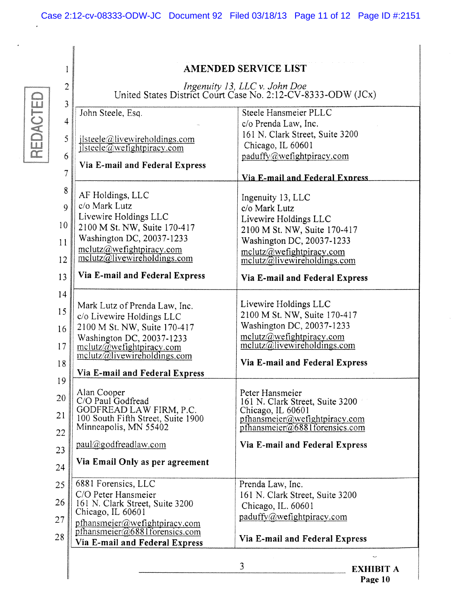**AMENDED SERVICE LIST** 

REDACTED

 $\overline{1}$ 

| $\overline{c}$<br>3 |                                                                                            | Ingenuity 13, LLC v. John Doe<br>United States District Court Case No. 2:12-CV-8333-ODW (JCx)             |
|---------------------|--------------------------------------------------------------------------------------------|-----------------------------------------------------------------------------------------------------------|
| 4                   | John Steele, Esq.                                                                          | Steele Hansmeier PLLC                                                                                     |
| 5<br>6              | ilsteele@livewireholdings.com<br>$\frac{1}{2}$ lsteele $\omega$ wefightpiracy.com          | c/o Prenda Law, Inc.<br>161 N. Clark Street, Suite 3200<br>Chicago, IL 60601<br>paduffy@wefightpiracy.com |
| $\overline{7}$      | Via E-mail and Federal Express                                                             |                                                                                                           |
| 8                   |                                                                                            | Via E-mail and Federal Express                                                                            |
| 9                   | AF Holdings, LLC<br>c/o Mark Lutz                                                          | Ingenuity 13, LLC<br>c/o Mark Lutz                                                                        |
| 10                  | Livewire Holdings LLC                                                                      | Livewire Holdings LLC                                                                                     |
| 11                  | 2100 M St. NW, Suite 170-417<br>Washington DC, 20037-1233                                  | 2100 M St. NW, Suite 170-417<br>Washington DC, 20037-1233                                                 |
|                     | mclutz@wefightpiracy.com<br>melutz@llivewireholdings.com                                   | mclutz@wefighttpiracy.com                                                                                 |
| 12                  |                                                                                            | melutz@llivewireholdings.com                                                                              |
| 13                  | Via E-mail and Federal Express                                                             | Via E-mail and Federal Express                                                                            |
| 14<br>15            | Mark Lutz of Prenda Law, Inc.<br>c/o Livewire Holdings LLC<br>2100 M St. NW, Suite 170-417 | Livewire Holdings LLC<br>2100 M St. NW, Suite 170-417<br>Washington DC, 20037-1233                        |
| 16                  | Washington DC, 20037-1233                                                                  | melutz@wefightpiracy.com                                                                                  |
| 17                  | $\text{mclutz}(\widetilde{a}$ we fight piracy.com<br>mclutz@livewireholdings.com           | melutz@llivewireholdings.com                                                                              |
| 18                  | Via E-mail and Federal Express                                                             | Via E-mail and Federal Express                                                                            |
| 19                  |                                                                                            |                                                                                                           |
| 20                  | Alan Cooper<br>C/O Paul Godfread                                                           | Peter Hansmeier<br>161 N. Clark Street, Suite 3200                                                        |
| 21                  | GODFREAD LAW FIRM, P.C.<br>100 South Fifth Street, Suite 1900                              | Chicago, IL 60601<br>pfhansmeier@wefightpiracy.com                                                        |
| 22                  | Minneapolis, MN 55402                                                                      | pthansmeier@6881forensics.com                                                                             |
| 23                  | paul@godfreadlaw.com                                                                       | Via E-mail and Federal Express                                                                            |
| 24                  | Via Email Only as per agreement                                                            |                                                                                                           |
| 25                  | 6881 Forensics, LLC                                                                        | Prenda Law, Inc.                                                                                          |
| 26                  | C/O Peter Hansmeier<br>161 N. Clark Street, Suite 3200                                     | 161 N. Clark Street, Suite 3200<br>Chicago, IL. 60601                                                     |
| 27                  | Chicago, IL 60601<br>pfhansmeier@wefightpiracy.com                                         | paduffy@wefighttpiracy.com                                                                                |
| 28                  | pfhansmeier@6881forensics.com                                                              | Via E-mail and Federal Express                                                                            |
|                     | Via E-mail and Federal Express                                                             |                                                                                                           |
|                     |                                                                                            | 3<br><b>EXHIBIT A</b>                                                                                     |
|                     |                                                                                            | $Pa$ $\sigma$ $\alpha$ 10                                                                                 |